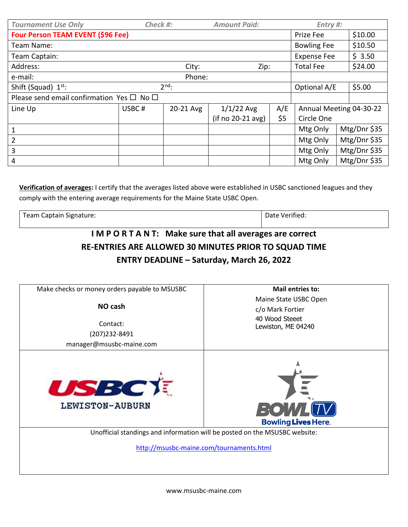| <b>Tournament Use Only</b>                          | Check #:      |           | <b>Amount Paid:</b> |                  | Entry #:                 |         |              |  |
|-----------------------------------------------------|---------------|-----------|---------------------|------------------|--------------------------|---------|--------------|--|
| <b>Four Person TEAM EVENT (\$96 Fee)</b>            |               |           |                     |                  | Prize Fee                |         | \$10.00      |  |
| Team Name:                                          |               |           |                     |                  | <b>Bowling Fee</b>       |         | \$10.50      |  |
| Team Captain:                                       |               |           |                     |                  | <b>Expense Fee</b>       |         | \$3.50       |  |
| Address:                                            | City:<br>Zip: |           |                     | <b>Total Fee</b> |                          | \$24.00 |              |  |
| Phone:<br>e-mail:                                   |               |           |                     |                  |                          |         |              |  |
| Shift (Squad) 1st:                                  | $2nd$ :       |           |                     |                  | Optional A/E             |         | \$5.00       |  |
| Please send email confirmation Yes $\Box$ No $\Box$ |               |           |                     |                  |                          |         |              |  |
| Line Up                                             | USBC#         | 20-21 Avg | $1/1/22$ Avg        | A/E              | Annual Meeting 04-30-22  |         |              |  |
|                                                     |               |           | (if no 20-21 avg)   | \$5              | Circle One               |         |              |  |
| 1                                                   |               |           |                     |                  | Mtg Only                 |         | Mtg/Dnr \$35 |  |
| $\overline{2}$                                      |               |           |                     |                  | Mtg/Dnr \$35<br>Mtg Only |         |              |  |
| $\overline{3}$                                      |               |           |                     |                  | Mtg/Dnr \$35<br>Mtg Only |         |              |  |
| $\overline{4}$                                      |               |           |                     |                  | Mtg Only                 |         | Mtg/Dnr \$35 |  |

**Verification of averages:** I certify that the averages listed above were established in USBC sanctioned leagues and they comply with the entering average requirements for the Maine State USBC Open.

Team Captain Signature:  $\vert$  Date Verified:

## **I M P O R T A N T: Make sure that all averages are correct RE-ENTRIES ARE ALLOWED 30 MINUTES PRIOR TO SQUAD TIME ENTRY DEADLINE – Saturday, March 26, 2022**

| Make checks or money orders payable to MSUSBC | <b>Mail entries to:</b>                                                           |  |  |  |  |
|-----------------------------------------------|-----------------------------------------------------------------------------------|--|--|--|--|
| NO cash<br>Contact:                           | Maine State USBC Open<br>c/o Mark Fortier<br>40 Wood Steeet<br>Lewiston, ME 04240 |  |  |  |  |
| (207) 232-8491<br>manager@msusbc-maine.com    |                                                                                   |  |  |  |  |
| <b>USBCT</b><br>LEWISTON-AUBURN               | $\Box$ ( $\bullet$<br><b>Bowling Lives Here.</b>                                  |  |  |  |  |
|                                               | Unofficial standings and information will be posted on the MSUSBC website:        |  |  |  |  |
|                                               | http://msusbc-maine.com/tournaments.html                                          |  |  |  |  |
|                                               |                                                                                   |  |  |  |  |

www.msusbc-maine.com